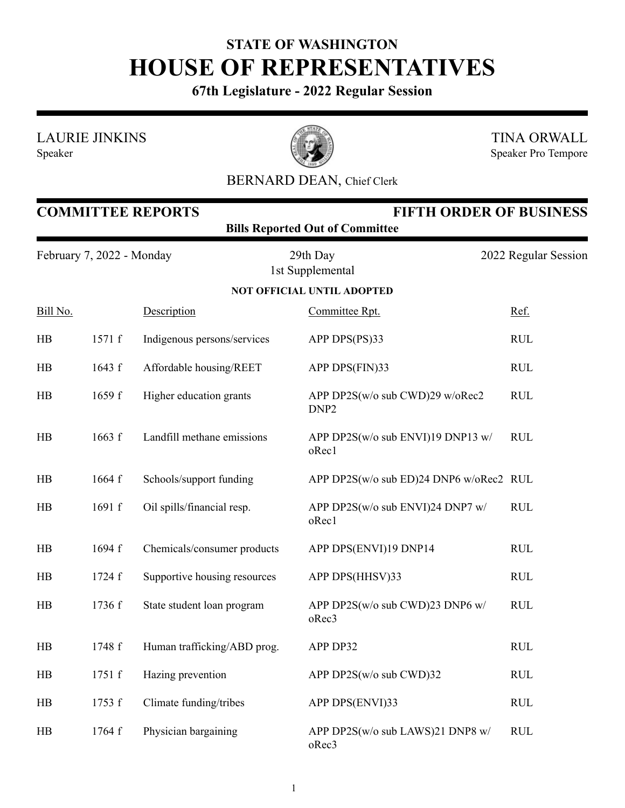## **STATE OF WASHINGTON HOUSE OF REPRESENTATIVES**

**67th Legislature - 2022 Regular Session**

LAURIE JINKINS





TINA ORWALL Speaker Pro Tempore

## BERNARD DEAN, Chief Clerk

| <b>FIFTH ORDER OF BUSINESS</b><br><b>COMMITTEE REPORTS</b><br><b>Bills Reported Out of Committee</b> |        |                              |                                                     |                      |  |  |  |
|------------------------------------------------------------------------------------------------------|--------|------------------------------|-----------------------------------------------------|----------------------|--|--|--|
| February 7, 2022 - Monday                                                                            |        |                              | 29th Day<br>1st Supplemental                        | 2022 Regular Session |  |  |  |
|                                                                                                      |        |                              | <b>NOT OFFICIAL UNTIL ADOPTED</b>                   |                      |  |  |  |
| Bill No.                                                                                             |        | Description                  | Committee Rpt.                                      | Ref.                 |  |  |  |
| HB                                                                                                   | 1571 f | Indigenous persons/services  | APP DPS(PS)33                                       | <b>RUL</b>           |  |  |  |
| HB                                                                                                   | 1643 f | Affordable housing/REET      | APP DPS(FIN)33                                      | <b>RUL</b>           |  |  |  |
| HB                                                                                                   | 1659 f | Higher education grants      | APP DP2S(w/o sub CWD)29 w/oRec2<br>DNP <sub>2</sub> | <b>RUL</b>           |  |  |  |
| HB                                                                                                   | 1663 f | Landfill methane emissions   | APP DP2S(w/o sub ENVI)19 DNP13 w/<br>oRec1          | <b>RUL</b>           |  |  |  |
| HB                                                                                                   | 1664 f | Schools/support funding      | APP DP2S(w/o sub ED)24 DNP6 w/oRec2 RUL             |                      |  |  |  |
| HB                                                                                                   | 1691 f | Oil spills/financial resp.   | APP DP2S(w/o sub ENVI)24 DNP7 w/<br>oRec1           | <b>RUL</b>           |  |  |  |
| HB                                                                                                   | 1694 f | Chemicals/consumer products  | APP DPS(ENVI)19 DNP14                               | <b>RUL</b>           |  |  |  |
| HB                                                                                                   | 1724 f | Supportive housing resources | APP DPS(HHSV)33                                     | <b>RUL</b>           |  |  |  |
| HB                                                                                                   | 1736 f | State student loan program   | APP DP2S(w/o sub CWD)23 DNP6 w/<br>oRec3            | <b>RUL</b>           |  |  |  |
| HB                                                                                                   | 1748 f | Human trafficking/ABD prog.  | APP DP32                                            | <b>RUL</b>           |  |  |  |
| $H\!B$                                                                                               | 1751 f | Hazing prevention            | APP DP2S(w/o sub CWD)32                             | <b>RUL</b>           |  |  |  |
| $H\!B$                                                                                               | 1753 f | Climate funding/tribes       | APP DPS(ENVI)33                                     | <b>RUL</b>           |  |  |  |
| HB                                                                                                   | 1764 f | Physician bargaining         | APP DP2S(w/o sub LAWS)21 DNP8 w/<br>oRec3           | <b>RUL</b>           |  |  |  |